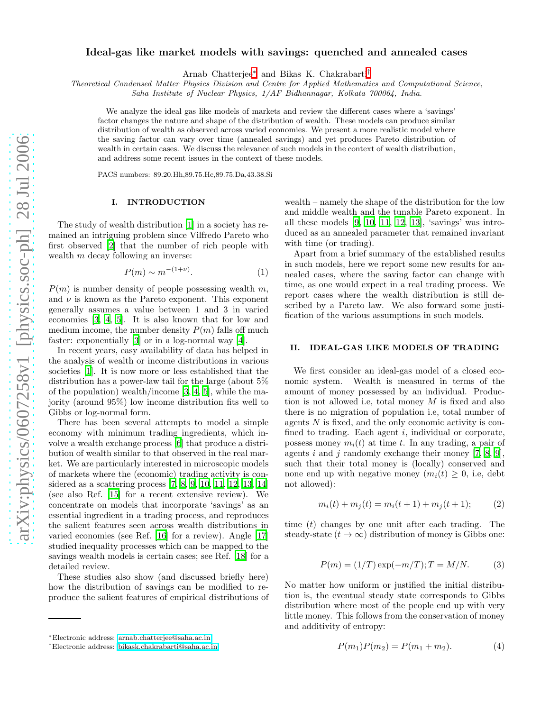# Ideal-gas like market models with savings: quenched and annealed cases

Arnab Chatterjee[∗](#page-0-0) and Bikas K. Chakrabarti[†](#page-0-1)

*Theoretical Condensed Matter Physics Division and Centre for Applied Mathematics and Computational Science,*

*Saha Institute of Nuclear Physics, 1/AF Bidhannagar, Kolkata 700064, India.*

We analyze the ideal gas like models of markets and review the different cases where a 'savings' factor changes the nature and shape of the distribution of wealth. These models can produce similar distribution of wealth as observed across varied economies. We present a more realistic model where the saving factor can vary over time (annealed savings) and yet produces Pareto distribution of wealth in certain cases. We discuss the relevance of such models in the context of wealth distribution, and address some recent issues in the context of these models.

PACS numbers: 89.20.Hh,89.75.Hc,89.75.Da,43.38.Si

### I. INTRODUCTION

The study of wealth distribution [\[1\]](#page-3-0) in a society has remained an intriguing problem since Vilfredo Pareto who first observed [\[2](#page-3-1)] that the number of rich people with wealth m decay following an inverse:

<span id="page-0-3"></span>
$$
P(m) \sim m^{-(1+\nu)}.\tag{1}
$$

 $P(m)$  is number density of people possessing wealth m, and  $\nu$  is known as the Pareto exponent. This exponent generally assumes a value between 1 and 3 in varied economies [\[3,](#page-3-2) [4,](#page-3-3) [5\]](#page-3-4). It is also known that for low and medium income, the number density  $P(m)$  falls off much faster: exponentially [\[3\]](#page-3-2) or in a log-normal way [\[4\]](#page-3-3).

In recent years, easy availability of data has helped in the analysis of wealth or income distributions in various societies [\[1](#page-3-0)]. It is now more or less established that the distribution has a power-law tail for the large (about 5% of the population) wealth/income [\[3,](#page-3-2) [4,](#page-3-3) [5\]](#page-3-4), while the majority (around 95%) low income distribution fits well to Gibbs or log-normal form.

There has been several attempts to model a simple economy with minimum trading ingredients, which involve a wealth exchange process [\[6\]](#page-3-5) that produce a distribution of wealth similar to that observed in the real market. We are particularly interested in microscopic models of markets where the (economic) trading activity is considered as a scattering process [\[7](#page-3-6), [8](#page-3-7), [9](#page-3-8), [10](#page-3-9), [11,](#page-3-10) [12,](#page-3-11) [13,](#page-3-12) [14](#page-3-13)] (see also Ref. [\[15\]](#page-3-14) for a recent extensive review). We concentrate on models that incorporate 'savings' as an essential ingredient in a trading process, and reproduces the salient features seen across wealth distributions in varied economies (see Ref. [\[16](#page-3-15)] for a review). Angle [\[17](#page-3-16)] studied inequality processes which can be mapped to the savings wealth models is certain cases; see Ref. [\[18](#page-3-17)] for a detailed review.

These studies also show (and discussed briefly here) how the distribution of savings can be modified to reproduce the salient features of empirical distributions of

wealth – namely the shape of the distribution for the low and middle wealth and the tunable Pareto exponent. In all these models  $[9, 10, 11, 12, 13]$  $[9, 10, 11, 12, 13]$  $[9, 10, 11, 12, 13]$  $[9, 10, 11, 12, 13]$  $[9, 10, 11, 12, 13]$ , 'savings' was introduced as an annealed parameter that remained invariant with time (or trading).

Apart from a brief summary of the established results in such models, here we report some new results for annealed cases, where the saving factor can change with time, as one would expect in a real trading process. We report cases where the wealth distribution is still described by a Pareto law. We also forward some justification of the various assumptions in such models.

#### II. IDEAL-GAS LIKE MODELS OF TRADING

We first consider an ideal-gas model of a closed economic system. Wealth is measured in terms of the amount of money possessed by an individual. Production is not allowed i.e, total money M is fixed and also there is no migration of population i.e, total number of agents N is fixed, and the only economic activity is confined to trading. Each agent  $i$ , individual or corporate, possess money  $m_i(t)$  at time t. In any trading, a pair of agents i and j randomly exchange their money  $[7, 8, 9]$  $[7, 8, 9]$  $[7, 8, 9]$  $[7, 8, 9]$ , such that their total money is (locally) conserved and none end up with negative money  $(m_i(t) \geq 0, i.e., \text{debt})$ not allowed):

$$
m_i(t) + m_j(t) = m_i(t+1) + m_j(t+1); \tag{2}
$$

time  $(t)$  changes by one unit after each trading. The steady-state  $(t \to \infty)$  distribution of money is Gibbs one:

$$
P(m) = (1/T) \exp(-m/T); T = M/N.
$$
 (3)

No matter how uniform or justified the initial distribution is, the eventual steady state corresponds to Gibbs distribution where most of the people end up with very little money. This follows from the conservation of money and additivity of entropy:

<span id="page-0-2"></span>
$$
P(m_1)P(m_2) = P(m_1 + m_2). \tag{4}
$$

<span id="page-0-0"></span><sup>∗</sup>Electronic address: [arnab.chatterjee@saha.ac.in](mailto:arnab.chatterjee@saha.ac.in)

<span id="page-0-1"></span><sup>†</sup>Electronic address: [bikask.chakrabarti@saha.ac.in](mailto:bikask.chakrabarti@saha.ac.in)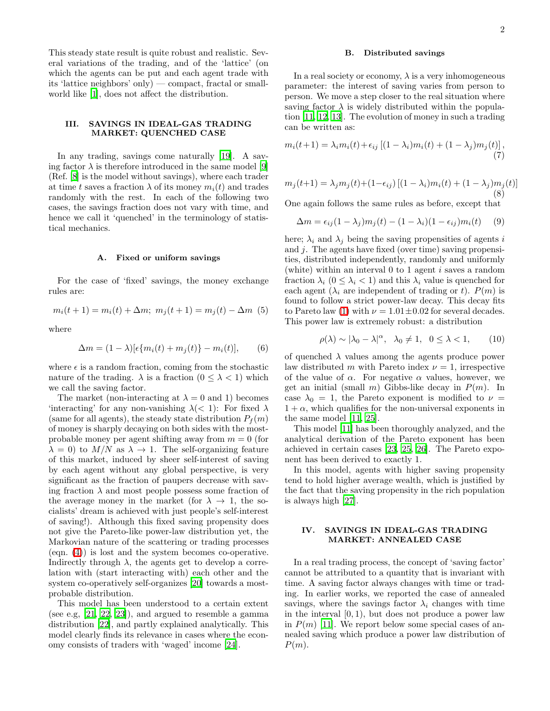This steady state result is quite robust and realistic. Several variations of the trading, and of the 'lattice' (on which the agents can be put and each agent trade with its 'lattice neighbors' only) — compact, fractal or smallworld like [\[1\]](#page-3-0), does not affect the distribution.

# III. SAVINGS IN IDEAL-GAS TRADING MARKET: QUENCHED CASE

In any trading, savings come naturally [\[19](#page-3-18)]. A saving factor  $\lambda$  is therefore introduced in the same model [\[9](#page-3-8)] (Ref. [\[8\]](#page-3-7) is the model without savings), where each trader at time t saves a fraction  $\lambda$  of its money  $m_i(t)$  and trades randomly with the rest. In each of the following two cases, the savings fraction does not vary with time, and hence we call it 'quenched' in the terminology of statistical mechanics.

### A. Fixed or uniform savings

For the case of 'fixed' savings, the money exchange rules are:

$$
m_i(t+1) = m_i(t) + \Delta m; \ m_j(t+1) = m_j(t) - \Delta m \ (5)
$$

where

$$
\Delta m = (1 - \lambda)[\epsilon \{m_i(t) + m_j(t)\} - m_i(t)], \qquad (6)
$$

where  $\epsilon$  is a random fraction, coming from the stochastic nature of the trading.  $\lambda$  is a fraction  $(0 \leq \lambda < 1)$  which we call the saving factor.

The market (non-interacting at  $\lambda = 0$  and 1) becomes 'interacting' for any non-vanishing  $\lambda$ (< 1): For fixed  $\lambda$ (same for all agents), the steady state distribution  $P_f(m)$ of money is sharply decaying on both sides with the mostprobable money per agent shifting away from  $m = 0$  (for  $\lambda = 0$ ) to  $M/N$  as  $\lambda \to 1$ . The self-organizing feature of this market, induced by sheer self-interest of saving by each agent without any global perspective, is very significant as the fraction of paupers decrease with saving fraction  $\lambda$  and most people possess some fraction of the average money in the market (for  $\lambda \to 1$ , the socialists' dream is achieved with just people's self-interest of saving!). Although this fixed saving propensity does not give the Pareto-like power-law distribution yet, the Markovian nature of the scattering or trading processes (eqn. [\(4\)](#page-0-2)) is lost and the system becomes co-operative. Indirectly through  $\lambda$ , the agents get to develop a correlation with (start interacting with) each other and the system co-operatively self-organizes [\[20\]](#page-3-19) towards a mostprobable distribution.

This model has been understood to a certain extent (see e.g, [\[21,](#page-3-20) [22,](#page-3-21) [23\]](#page-3-22)), and argued to resemble a gamma distribution [\[22\]](#page-3-21), and partly explained analytically. This model clearly finds its relevance in cases where the economy consists of traders with 'waged' income [\[24](#page-3-23)].

### B. Distributed savings

In a real society or economy,  $\lambda$  is a very inhomogeneous parameter: the interest of saving varies from person to person. We move a step closer to the real situation where saving factor  $\lambda$  is widely distributed within the population [\[11](#page-3-10), [12](#page-3-11), [13\]](#page-3-12). The evolution of money in such a trading can be written as:

<span id="page-1-1"></span><span id="page-1-0"></span>
$$
m_i(t+1) = \lambda_i m_i(t) + \epsilon_{ij} \left[ (1 - \lambda_i) m_i(t) + (1 - \lambda_j) m_j(t) \right],\tag{7}
$$

$$
m_j(t+1) = \lambda_j m_j(t) + (1 - \epsilon_{ij}) [(1 - \lambda_i) m_i(t) + (1 - \lambda_j) m_j(t)]
$$
\n(8)

One again follows the same rules as before, except that

$$
\Delta m = \epsilon_{ij}(1 - \lambda_j)m_j(t) - (1 - \lambda_i)(1 - \epsilon_{ij})m_i(t) \tag{9}
$$

here;  $\lambda_i$  and  $\lambda_j$  being the saving propensities of agents i and  $j$ . The agents have fixed (over time) saving propensities, distributed independently, randomly and uniformly (white) within an interval  $0$  to 1 agent i saves a random fraction  $\lambda_i$   $(0 \leq \lambda_i < 1)$  and this  $\lambda_i$  value is quenched for each agent  $(\lambda_i$  are independent of trading or t).  $P(m)$  is found to follow a strict power-law decay. This decay fits to Pareto law [\(1\)](#page-0-3) with  $\nu = 1.01 \pm 0.02$  for several decades. This power law is extremely robust: a distribution

$$
\rho(\lambda) \sim |\lambda_0 - \lambda|^{\alpha}, \quad \lambda_0 \neq 1, \quad 0 \leq \lambda < 1,\tag{10}
$$

of quenched  $\lambda$  values among the agents produce power law distributed m with Pareto index  $\nu = 1$ , irrespective of the value of  $\alpha$ . For negative  $\alpha$  values, however, we get an initial (small m) Gibbs-like decay in  $P(m)$ . In case  $\lambda_0 = 1$ , the Pareto exponent is modified to  $\nu =$  $1 + \alpha$ , which qualifies for the non-universal exponents in the same model [\[11,](#page-3-10) [25\]](#page-3-24).

This model [\[11\]](#page-3-10) has been thoroughly analyzed, and the analytical derivation of the Pareto exponent has been achieved in certain cases [\[23](#page-3-22), [25,](#page-3-24) [26](#page-3-25)]. The Pareto exponent has been derived to exactly 1.

In this model, agents with higher saving propensity tend to hold higher average wealth, which is justified by the fact that the saving propensity in the rich population is always high [\[27\]](#page-3-26).

### IV. SAVINGS IN IDEAL-GAS TRADING MARKET: ANNEALED CASE

In a real trading process, the concept of 'saving factor' cannot be attributed to a quantity that is invariant with time. A saving factor always changes with time or trading. In earlier works, we reported the case of annealed savings, where the savings factor  $\lambda_i$  changes with time in the interval  $[0, 1)$ , but does not produce a power law in  $P(m)$  [\[11](#page-3-10)]. We report below some special cases of annealed saving which produce a power law distribution of  $P(m)$ .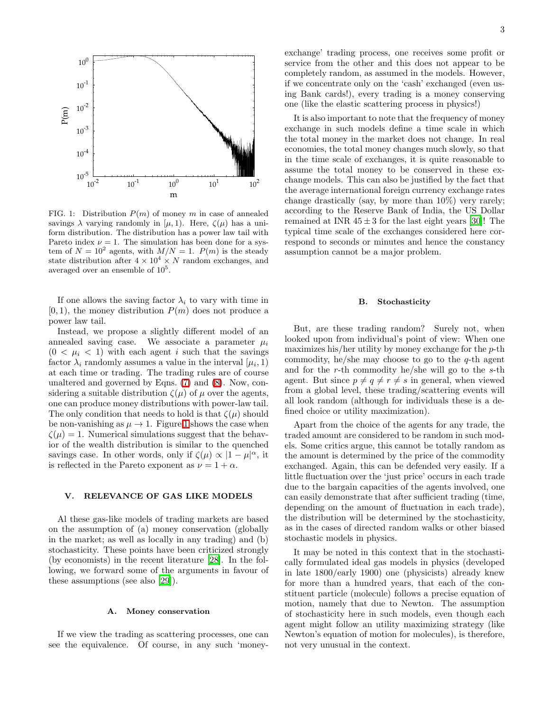

<span id="page-2-0"></span>FIG. 1: Distribution  $P(m)$  of money m in case of annealed savings  $\lambda$  varying randomly in  $[\mu, 1)$ . Here,  $\zeta(\mu)$  has a uniform distribution. The distribution has a power law tail with Pareto index  $\nu = 1$ . The simulation has been done for a system of  $N = 10^2$  agents, with  $M/N = 1$ .  $P(m)$  is the steady state distribution after  $4 \times 10^4 \times N$  random exchanges, and averaged over an ensemble of  $10^5$ .

If one allows the saving factor  $\lambda_i$  to vary with time in  $[0, 1)$ , the money distribution  $P(m)$  does not produce a power law tail.

Instead, we propose a slightly different model of an annealed saving case. We associate a parameter  $\mu_i$  $(0 < \mu_i < 1)$  with each agent i such that the savings factor  $\lambda_i$  randomly assumes a value in the interval  $[\mu_i, 1]$ at each time or trading. The trading rules are of course unaltered and governed by Eqns. [\(7\)](#page-1-0) and [\(8\)](#page-1-1). Now, considering a suitable distribution  $\zeta(\mu)$  of  $\mu$  over the agents, one can produce money distributions with power-law tail. The only condition that needs to hold is that  $\zeta(\mu)$  should be non-vanishing as  $\mu \to 1$  $\mu \to 1$ . Figure 1 shows the case when  $\zeta(\mu) = 1$ . Numerical simulations suggest that the behavior of the wealth distribution is similar to the quenched savings case. In other words, only if  $\zeta(\mu) \propto |1-\mu|^{\alpha}$ , it is reflected in the Pareto exponent as  $\nu = 1 + \alpha$ .

# V. RELEVANCE OF GAS LIKE MODELS

Al these gas-like models of trading markets are based on the assumption of (a) money conservation (globally in the market; as well as locally in any trading) and (b) stochasticity. These points have been criticized strongly (by economists) in the recent literature [\[28](#page-3-27)]. In the following, we forward some of the arguments in favour of these assumptions (see also [\[29\]](#page-3-28)).

### A. Money conservation

If we view the trading as scattering processes, one can see the equivalence. Of course, in any such 'moneyexchange' trading process, one receives some profit or service from the other and this does not appear to be completely random, as assumed in the models. However, if we concentrate only on the 'cash' exchanged (even using Bank cards!), every trading is a money conserving one (like the elastic scattering process in physics!)

It is also important to note that the frequency of money exchange in such models define a time scale in which the total money in the market does not change. In real economies, the total money changes much slowly, so that in the time scale of exchanges, it is quite reasonable to assume the total money to be conserved in these exchange models. This can also be justified by the fact that the average international foreign currency exchange rates change drastically (say, by more than 10%) very rarely; according to the Reserve Bank of India, the US Dollar remained at INR  $45 \pm 3$  for the last eight years [\[30](#page-3-29)]! The typical time scale of the exchanges considered here correspond to seconds or minutes and hence the constancy assumption cannot be a major problem.

### B. Stochasticity

But, are these trading random? Surely not, when looked upon from individual's point of view: When one maximizes his/her utility by money exchange for the  $p$ -th commodity, he/she may choose to go to the  $q$ -th agent and for the r-th commodity he/she will go to the  $s$ -th agent. But since  $p \neq q \neq r \neq s$  in general, when viewed from a global level, these trading/scattering events will all look random (although for individuals these is a defined choice or utility maximization).

Apart from the choice of the agents for any trade, the traded amount are considered to be random in such models. Some critics argue, this cannot be totally random as the amount is determined by the price of the commodity exchanged. Again, this can be defended very easily. If a little fluctuation over the 'just price' occurs in each trade due to the bargain capacities of the agents involved, one can easily demonstrate that after sufficient trading (time, depending on the amount of fluctuation in each trade), the distribution will be determined by the stochasticity, as in the cases of directed random walks or other biased stochastic models in physics.

It may be noted in this context that in the stochastically formulated ideal gas models in physics (developed in late 1800/early 1900) one (physicists) already knew for more than a hundred years, that each of the constituent particle (molecule) follows a precise equation of motion, namely that due to Newton. The assumption of stochasticity here in such models, even though each agent might follow an utility maximizing strategy (like Newton's equation of motion for molecules), is therefore, not very unusual in the context.